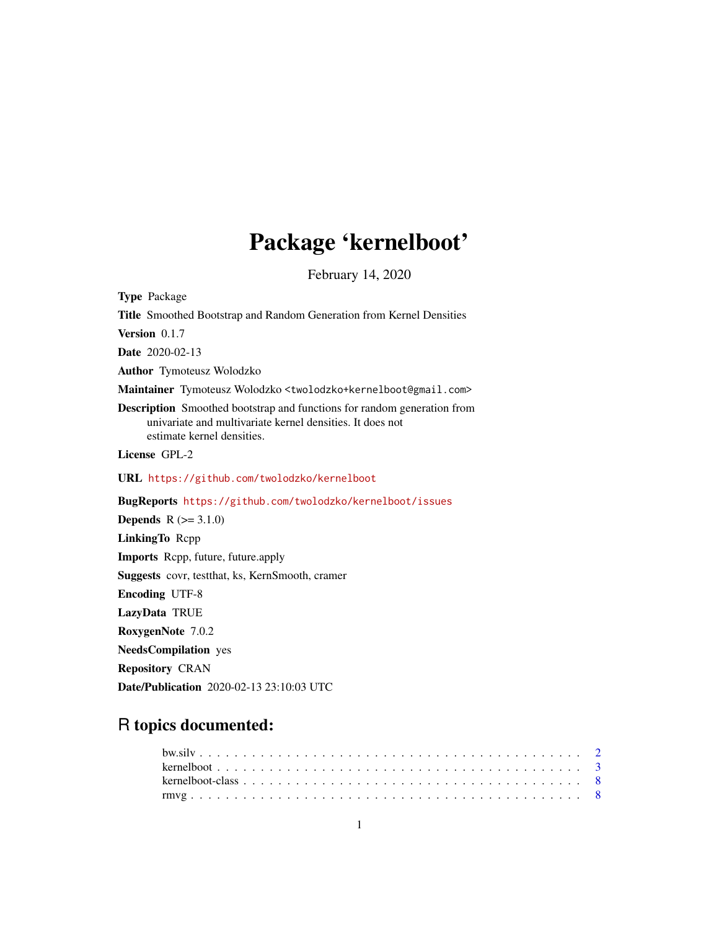## Package 'kernelboot'

February 14, 2020

<span id="page-0-0"></span>Type Package Title Smoothed Bootstrap and Random Generation from Kernel Densities Version 0.1.7 Date 2020-02-13 Author Tymoteusz Wolodzko Maintainer Tymoteusz Wolodzko <twolodzko+kernelboot@gmail.com> Description Smoothed bootstrap and functions for random generation from univariate and multivariate kernel densities. It does not estimate kernel densities. License GPL-2 URL <https://github.com/twolodzko/kernelboot> BugReports <https://github.com/twolodzko/kernelboot/issues> **Depends**  $R (= 3.1.0)$ LinkingTo Rcpp Imports Rcpp, future, future.apply Suggests covr, testthat, ks, KernSmooth, cramer Encoding UTF-8 LazyData TRUE RoxygenNote 7.0.2 NeedsCompilation yes Repository CRAN

### R topics documented:

Date/Publication 2020-02-13 23:10:03 UTC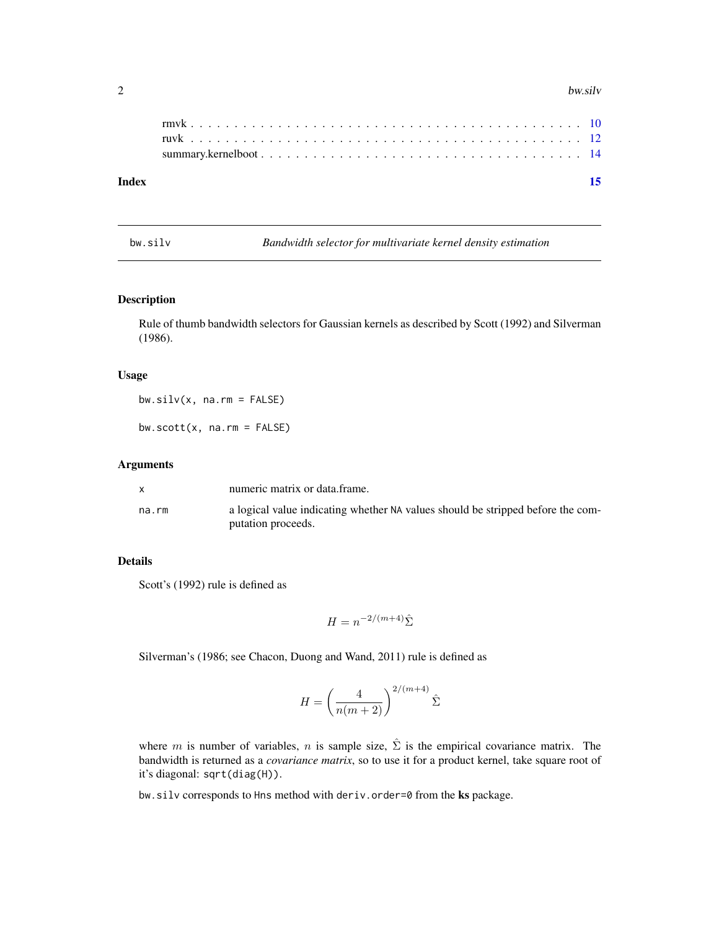#### <span id="page-1-0"></span>2 bw.silv

#### **Index** [15](#page-14-0)

<span id="page-1-1"></span>bw.silv *Bandwidth selector for multivariate kernel density estimation*

#### Description

Rule of thumb bandwidth selectors for Gaussian kernels as described by Scott (1992) and Silverman (1986).

#### Usage

 $bw.size(v, na.rm = FALSE)$ 

 $bw.scott(x, na.rm = FALSE)$ 

#### Arguments

|       | numeric matrix or data frame.                                                                         |
|-------|-------------------------------------------------------------------------------------------------------|
| na.rm | a logical value indicating whether NA values should be stripped before the com-<br>putation proceeds. |
|       |                                                                                                       |

#### Details

Scott's (1992) rule is defined as

$$
H = n^{-2/(m+4)}\hat{\Sigma}
$$

Silverman's (1986; see Chacon, Duong and Wand, 2011) rule is defined as

$$
H = \left(\frac{4}{n(m+2)}\right)^{2/(m+4)}\hat{\Sigma}
$$

where m is number of variables, n is sample size,  $\hat{\Sigma}$  is the empirical covariance matrix. The bandwidth is returned as a *covariance matrix*, so to use it for a product kernel, take square root of it's diagonal: sqrt(diag(H)).

bw.silv corresponds to Hns method with deriv.order=0 from the ks package.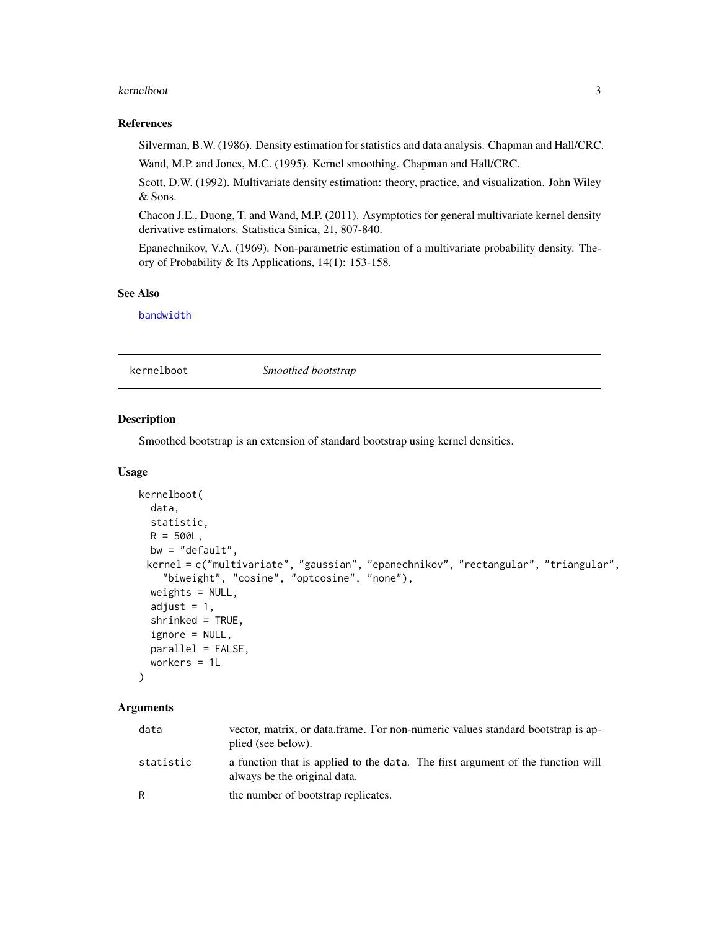#### <span id="page-2-0"></span>kernelboot 3

#### References

Silverman, B.W. (1986). Density estimation for statistics and data analysis. Chapman and Hall/CRC.

Wand, M.P. and Jones, M.C. (1995). Kernel smoothing. Chapman and Hall/CRC.

Scott, D.W. (1992). Multivariate density estimation: theory, practice, and visualization. John Wiley & Sons.

Chacon J.E., Duong, T. and Wand, M.P. (2011). Asymptotics for general multivariate kernel density derivative estimators. Statistica Sinica, 21, 807-840.

Epanechnikov, V.A. (1969). Non-parametric estimation of a multivariate probability density. Theory of Probability & Its Applications, 14(1): 153-158.

#### See Also

[bandwidth](#page-0-0)

<span id="page-2-1"></span>kernelboot *Smoothed bootstrap*

#### Description

Smoothed bootstrap is an extension of standard bootstrap using kernel densities.

#### Usage

```
kernelboot(
  data,
  statistic,
 R = 500L,
 bw = "default",
 kernel = c("multivariate", "gaussian", "epanechnikov", "rectangular", "triangular",
    "biweight", "cosine", "optcosine", "none"),
 weights = NULL,adjust = 1,
  shrinked = TRUE,
  ignore = NULL,
 parallel = FALSE,
 workers = 1L
)
```
#### Arguments

| data      | vector, matrix, or data frame. For non-numeric values standard bootstrap is ap-<br>plied (see below).           |
|-----------|-----------------------------------------------------------------------------------------------------------------|
| statistic | a function that is applied to the data. The first argument of the function will<br>always be the original data. |
| R         | the number of bootstrap replicates.                                                                             |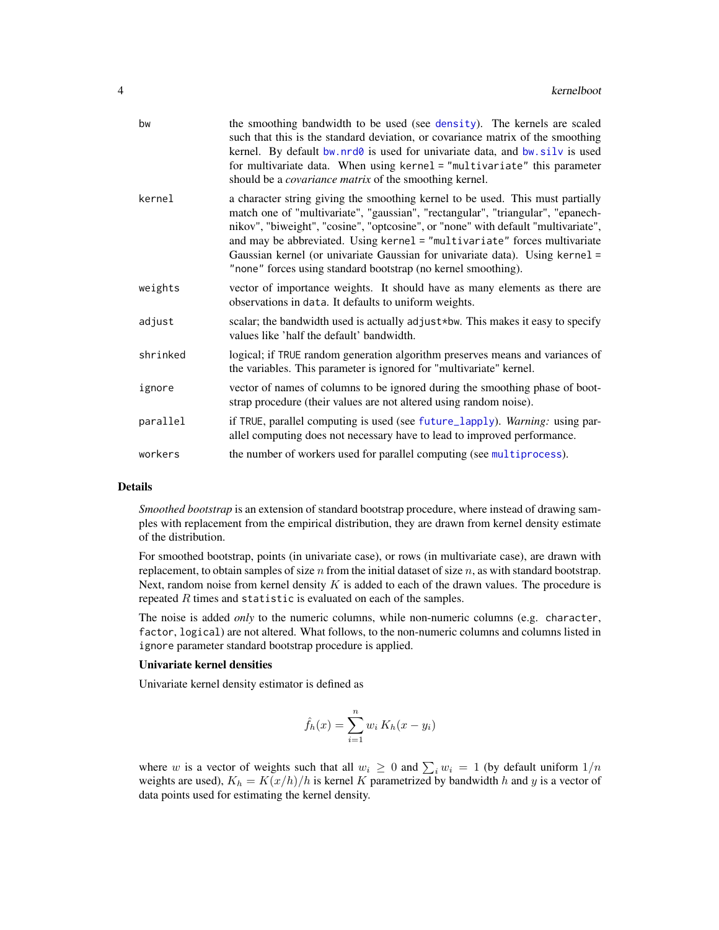<span id="page-3-0"></span>

| bw       | the smoothing bandwidth to be used (see density). The kernels are scaled<br>such that this is the standard deviation, or covariance matrix of the smoothing<br>kernel. By default bw.nrd0 is used for univariate data, and bw.silv is used<br>for multivariate data. When using kernel = "multivariate" this parameter<br>should be a <i>covariance matrix</i> of the smoothing kernel.                                                                                              |
|----------|--------------------------------------------------------------------------------------------------------------------------------------------------------------------------------------------------------------------------------------------------------------------------------------------------------------------------------------------------------------------------------------------------------------------------------------------------------------------------------------|
| kernel   | a character string giving the smoothing kernel to be used. This must partially<br>match one of "multivariate", "gaussian", "rectangular", "triangular", "epanech-<br>nikov", "biweight", "cosine", "optcosine", or "none" with default "multivariate",<br>and may be abbreviated. Using kernel = "multivariate" forces multivariate<br>Gaussian kernel (or univariate Gaussian for univariate data). Using kernel =<br>"none" forces using standard bootstrap (no kernel smoothing). |
| weights  | vector of importance weights. It should have as many elements as there are<br>observations in data. It defaults to uniform weights.                                                                                                                                                                                                                                                                                                                                                  |
| adjust   | scalar; the bandwidth used is actually adjust*bw. This makes it easy to specify<br>values like 'half the default' bandwidth.                                                                                                                                                                                                                                                                                                                                                         |
| shrinked | logical; if TRUE random generation algorithm preserves means and variances of<br>the variables. This parameter is ignored for "multivariate" kernel.                                                                                                                                                                                                                                                                                                                                 |
| ignore   | vector of names of columns to be ignored during the smoothing phase of boot-<br>strap procedure (their values are not altered using random noise).                                                                                                                                                                                                                                                                                                                                   |
| parallel | if TRUE, parallel computing is used (see future_lapply). Warning: using par-<br>allel computing does not necessary have to lead to improved performance.                                                                                                                                                                                                                                                                                                                             |
| workers  | the number of workers used for parallel computing (see multiprocess).                                                                                                                                                                                                                                                                                                                                                                                                                |

#### Details

*Smoothed bootstrap* is an extension of standard bootstrap procedure, where instead of drawing samples with replacement from the empirical distribution, they are drawn from kernel density estimate of the distribution.

For smoothed bootstrap, points (in univariate case), or rows (in multivariate case), are drawn with replacement, to obtain samples of size  $n$  from the initial dataset of size  $n$ , as with standard bootstrap. Next, random noise from kernel density  $K$  is added to each of the drawn values. The procedure is repeated  $R$  times and statistic is evaluated on each of the samples.

The noise is added *only* to the numeric columns, while non-numeric columns (e.g. character, factor, logical) are not altered. What follows, to the non-numeric columns and columns listed in ignore parameter standard bootstrap procedure is applied.

#### Univariate kernel densities

Univariate kernel density estimator is defined as

$$
\hat{f}_h(x) = \sum_{i=1}^n w_i K_h(x - y_i)
$$

where w is a vector of weights such that all  $w_i \geq 0$  and  $\sum_i w_i = 1$  (by default uniform  $1/n$ weights are used),  $K_h = K(x/h)/h$  is kernel K parametrized by bandwidth h and y is a vector of data points used for estimating the kernel density.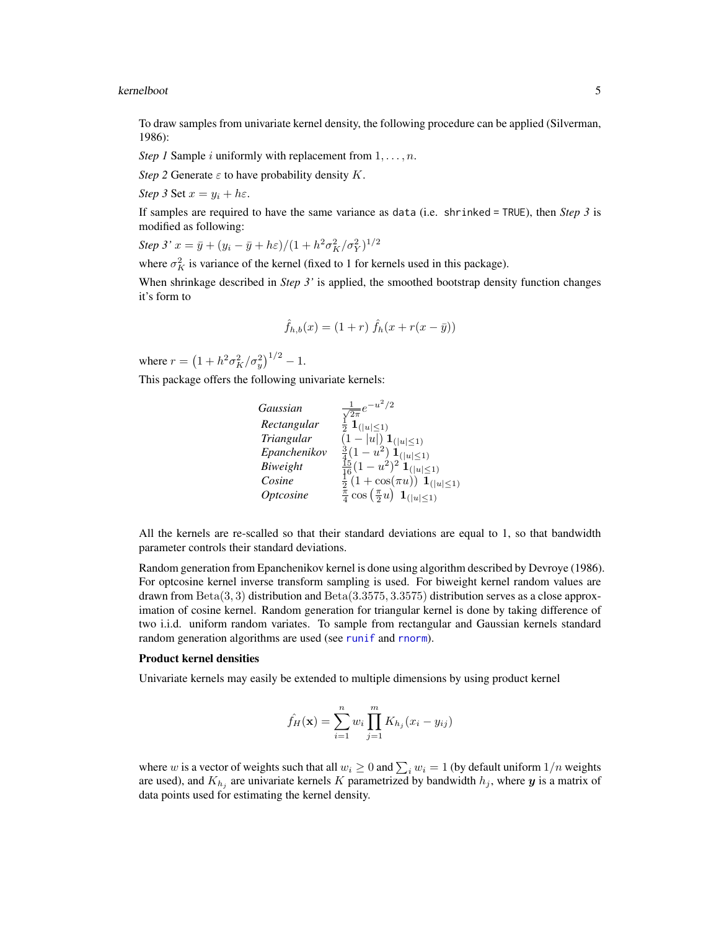#### <span id="page-4-0"></span>kernelboot 5

To draw samples from univariate kernel density, the following procedure can be applied (Silverman, 1986):

*Step 1* Sample *i* uniformly with replacement from  $1, \ldots, n$ .

*Step 2* Generate  $\varepsilon$  to have probability density  $K$ .

*Step 3* Set  $x = y_i + h\varepsilon$ .

If samples are required to have the same variance as data (i.e. shrinked = TRUE), then *Step 3* is modified as following:

Step 3' 
$$
x = \bar{y} + (y_i - \bar{y} + h\varepsilon)/(1 + h^2 \sigma_K^2 / \sigma_Y^2)^{1/2}
$$

where  $\sigma_K^2$  is variance of the kernel (fixed to 1 for kernels used in this package).

When shrinkage described in *Step 3'* is applied, the smoothed bootstrap density function changes it's form to

$$
\hat{f}_{h,b}(x) = (1+r)\ \hat{f}_h(x+r(x-\bar{y}))
$$

where  $r = (1 + h^2 \sigma_K^2 / \sigma_y^2)^{1/2} - 1$ .

This package offers the following univariate kernels:

*Gaussian* <sup>√</sup> 1  $\frac{1}{2\pi}e^{-u^2/2}$  $Rectangular \frac{1}{2} \mathbf{1}_{(|u| \leq 1)}$ *Triangular*  $(1 - |u|) \mathbf{1}_{(|u| \leq 1)}$ *Epanchenikov*  $\frac{3}{4}(1-u^2)\prod_{n=1}^{\infty}$ *Biweight*  $\frac{15}{16}(1-u^2)^2 \mathbf{1}_{(|u| \le 1)}$ *Cosine*  $\frac{1}{2} (1 + \cos(\pi u)) \mathbf{1}_{\{|u| \le 1\}}$ *Optcosine*  $\frac{\pi}{4} \cos \left( \frac{\pi}{2} u \right) \mathbf{1}_{(|u| \leq 1)}$ 

All the kernels are re-scalled so that their standard deviations are equal to 1, so that bandwidth parameter controls their standard deviations.

Random generation from Epanchenikov kernel is done using algorithm described by Devroye (1986). For optcosine kernel inverse transform sampling is used. For biweight kernel random values are drawn from  $Beta(3, 3)$  distribution and  $Beta(3.3575, 3.3575)$  distribution serves as a close approximation of cosine kernel. Random generation for triangular kernel is done by taking difference of two i.i.d. uniform random variates. To sample from rectangular and Gaussian kernels standard random generation algorithms are used (see [runif](#page-0-0) and [rnorm](#page-0-0)).

#### Product kernel densities

Univariate kernels may easily be extended to multiple dimensions by using product kernel

$$
\hat{f}_H(\mathbf{x}) = \sum_{i=1}^n w_i \prod_{j=1}^m K_{h_j}(x_i - y_{ij})
$$

where w is a vector of weights such that all  $w_i \ge 0$  and  $\sum_i w_i = 1$  (by default uniform  $1/n$  weights are used), and  $K_{h_j}$  are univariate kernels K parametrized by bandwidth  $h_j$ , where  $y$  is a matrix of data points used for estimating the kernel density.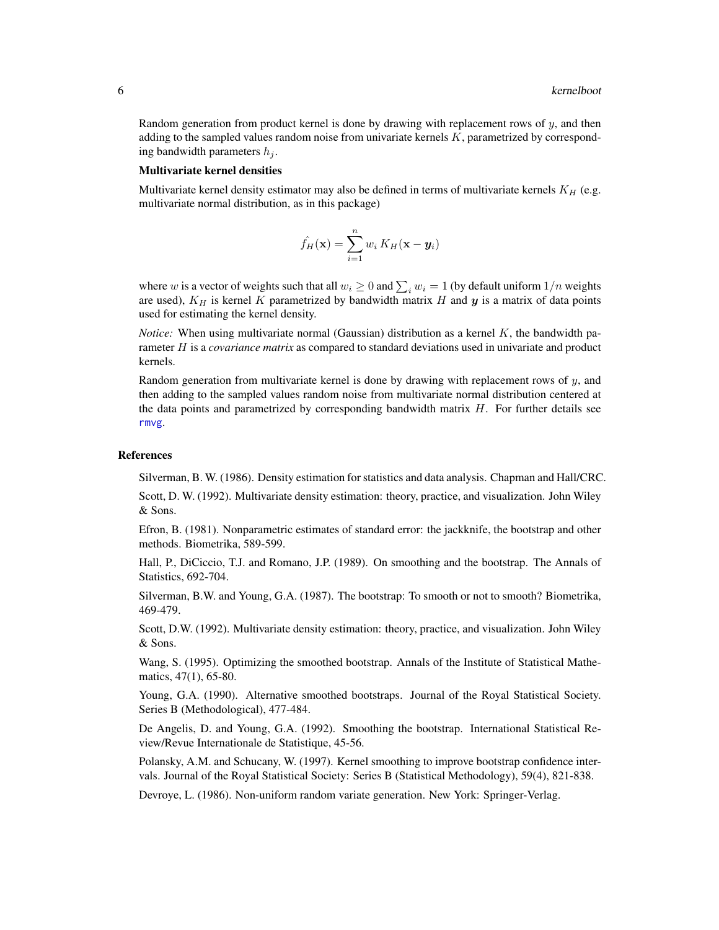<span id="page-5-0"></span>Random generation from product kernel is done by drawing with replacement rows of  $y$ , and then adding to the sampled values random noise from univariate kernels  $K$ , parametrized by corresponding bandwidth parameters  $h_i$ .

#### Multivariate kernel densities

Multivariate kernel density estimator may also be defined in terms of multivariate kernels  $K_H$  (e.g. multivariate normal distribution, as in this package)

$$
\hat{f}_H(\mathbf{x}) = \sum_{i=1}^n w_i K_H(\mathbf{x} - \mathbf{y}_i)
$$

where w is a vector of weights such that all  $w_i \ge 0$  and  $\sum_i w_i = 1$  (by default uniform  $1/n$  weights are used),  $K_H$  is kernel K parametrized by bandwidth matrix H and y is a matrix of data points used for estimating the kernel density.

*Notice:* When using multivariate normal (Gaussian) distribution as a kernel K, the bandwidth parameter H is a *covariance matrix* as compared to standard deviations used in univariate and product kernels.

Random generation from multivariate kernel is done by drawing with replacement rows of  $y$ , and then adding to the sampled values random noise from multivariate normal distribution centered at the data points and parametrized by corresponding bandwidth matrix  $H$ . For further details see [rmvg](#page-7-1).

#### References

Silverman, B. W. (1986). Density estimation for statistics and data analysis. Chapman and Hall/CRC.

Scott, D. W. (1992). Multivariate density estimation: theory, practice, and visualization. John Wiley & Sons.

Efron, B. (1981). Nonparametric estimates of standard error: the jackknife, the bootstrap and other methods. Biometrika, 589-599.

Hall, P., DiCiccio, T.J. and Romano, J.P. (1989). On smoothing and the bootstrap. The Annals of Statistics, 692-704.

Silverman, B.W. and Young, G.A. (1987). The bootstrap: To smooth or not to smooth? Biometrika, 469-479.

Scott, D.W. (1992). Multivariate density estimation: theory, practice, and visualization. John Wiley & Sons.

Wang, S. (1995). Optimizing the smoothed bootstrap. Annals of the Institute of Statistical Mathematics, 47(1), 65-80.

Young, G.A. (1990). Alternative smoothed bootstraps. Journal of the Royal Statistical Society. Series B (Methodological), 477-484.

De Angelis, D. and Young, G.A. (1992). Smoothing the bootstrap. International Statistical Review/Revue Internationale de Statistique, 45-56.

Polansky, A.M. and Schucany, W. (1997). Kernel smoothing to improve bootstrap confidence intervals. Journal of the Royal Statistical Society: Series B (Statistical Methodology), 59(4), 821-838.

Devroye, L. (1986). Non-uniform random variate generation. New York: Springer-Verlag.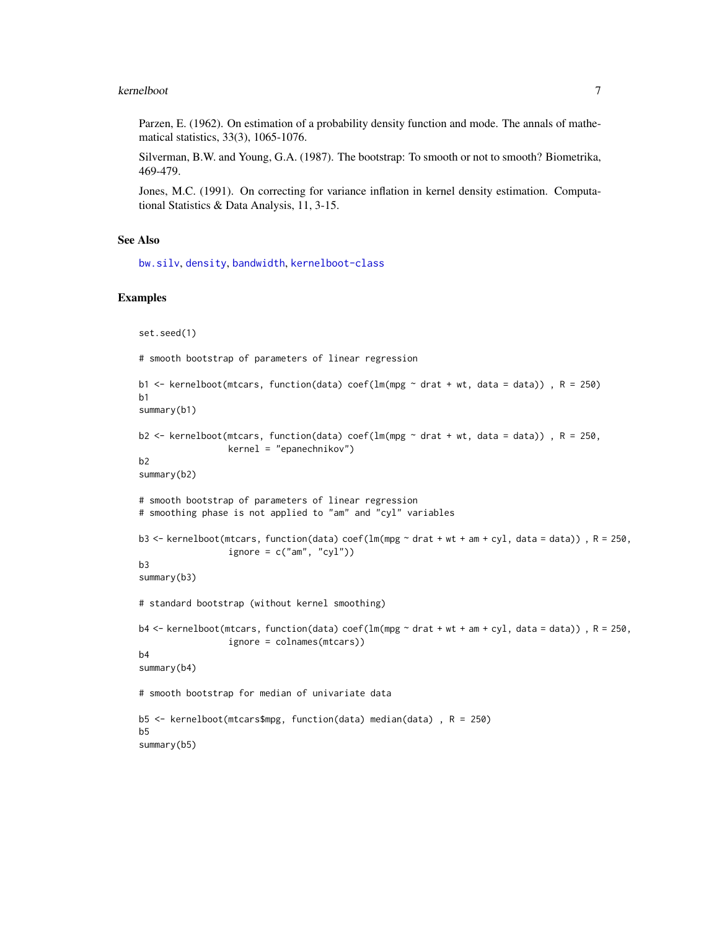#### <span id="page-6-0"></span>kernelboot 7

Parzen, E. (1962). On estimation of a probability density function and mode. The annals of mathematical statistics, 33(3), 1065-1076.

Silverman, B.W. and Young, G.A. (1987). The bootstrap: To smooth or not to smooth? Biometrika, 469-479.

Jones, M.C. (1991). On correcting for variance inflation in kernel density estimation. Computational Statistics & Data Analysis, 11, 3-15.

#### See Also

[bw.silv](#page-1-1), [density](#page-0-0), [bandwidth](#page-0-0), [kernelboot-class](#page-7-2)

#### Examples

```
set.seed(1)
# smooth bootstrap of parameters of linear regression
b1 <- kernelboot(mtcars, function(data) coef(lm(mpg \sim drat + wt, data = data)), R = 250)
b1
summary(b1)
b2 <- kernelboot(mtcars, function(data) coef(lm(mpg ~ drat + wt, data = data)), R = 250,
                 kernel = "epanechnikov")
b2
summary(b2)
# smooth bootstrap of parameters of linear regression
# smoothing phase is not applied to "am" and "cyl" variables
b3 <- kernelboot(mtcars, function(data) coef(lm(mpg ~ drat + wt + am + cyl, data = data)), R = 250,
                 ignore = c("am", "cyl"))b3
summary(b3)
# standard bootstrap (without kernel smoothing)
b4 \le - kernelboot(mtcars, function(data) coef(lm(mpg \sim drat + wt + am + cyl, data = data)), R = 250,
                 ignore = colnames(mtcars))
b4
summary(b4)
# smooth bootstrap for median of univariate data
b5 <- kernelboot(mtcars$mpg, function(data) median(data) , R = 250)
b5
summary(b5)
```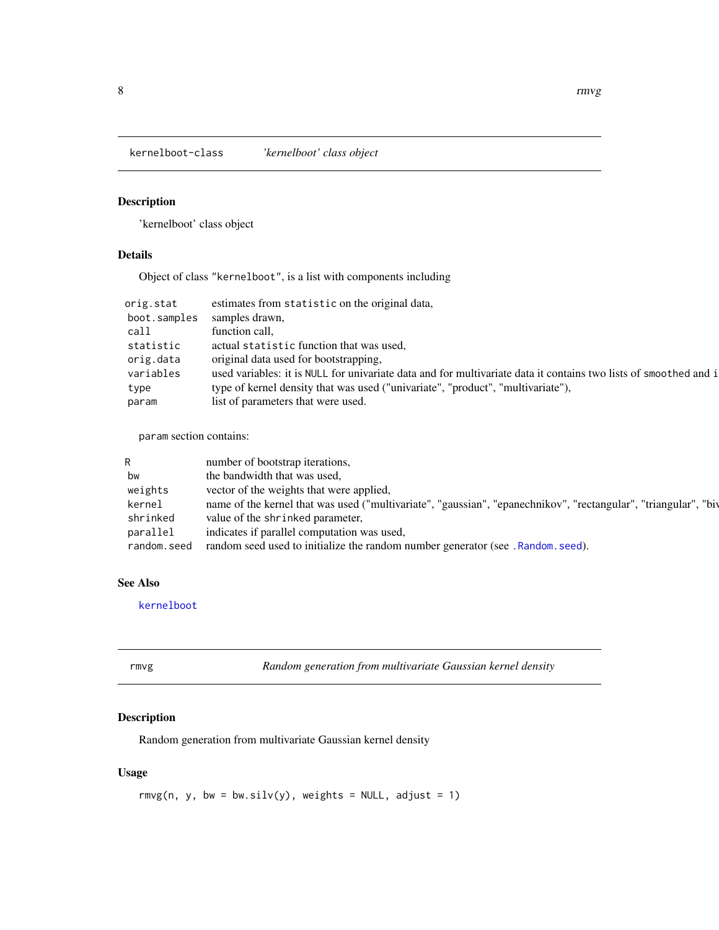<span id="page-7-2"></span><span id="page-7-0"></span>kernelboot-class *'kernelboot' class object*

#### Description

'kernelboot' class object

#### Details

Object of class "kernelboot", is a list with components including

| orig.stat    | estimates from statistic on the original data,                                                                   |
|--------------|------------------------------------------------------------------------------------------------------------------|
| boot.samples | samples drawn,                                                                                                   |
| call         | function call.                                                                                                   |
| statistic    | actual statistic function that was used,                                                                         |
| orig.data    | original data used for bootstrapping,                                                                            |
| variables    | used variables: it is NULL for univariate data and for multivariate data it contains two lists of smoothed and i |
| type         | type of kernel density that was used ("univariate", "product", "multivariate"),                                  |
| param        | list of parameters that were used.                                                                               |

param section contains:

| R           | number of bootstrap iterations,                                                                                 |
|-------------|-----------------------------------------------------------------------------------------------------------------|
| bw          | the bandwidth that was used,                                                                                    |
| weights     | vector of the weights that were applied,                                                                        |
| kernel      | name of the kernel that was used ("multivariate", "gaussian", "epanechnikov", "rectangular", "triangular", "biv |
| shrinked    | value of the shrinked parameter,                                                                                |
| parallel    | indicates if parallel computation was used.                                                                     |
| random.seed | random seed used to initialize the random number generator (see . Random. seed).                                |

#### See Also

[kernelboot](#page-2-1)

<span id="page-7-1"></span>

| rmvg | Random generation from multivariate Gaussian kernel density |  |  |  |  |
|------|-------------------------------------------------------------|--|--|--|--|
|------|-------------------------------------------------------------|--|--|--|--|

#### Description

Random generation from multivariate Gaussian kernel density

#### Usage

rmvg(n, y, bw = bw.silv(y), weights = NULL, adjust = 1)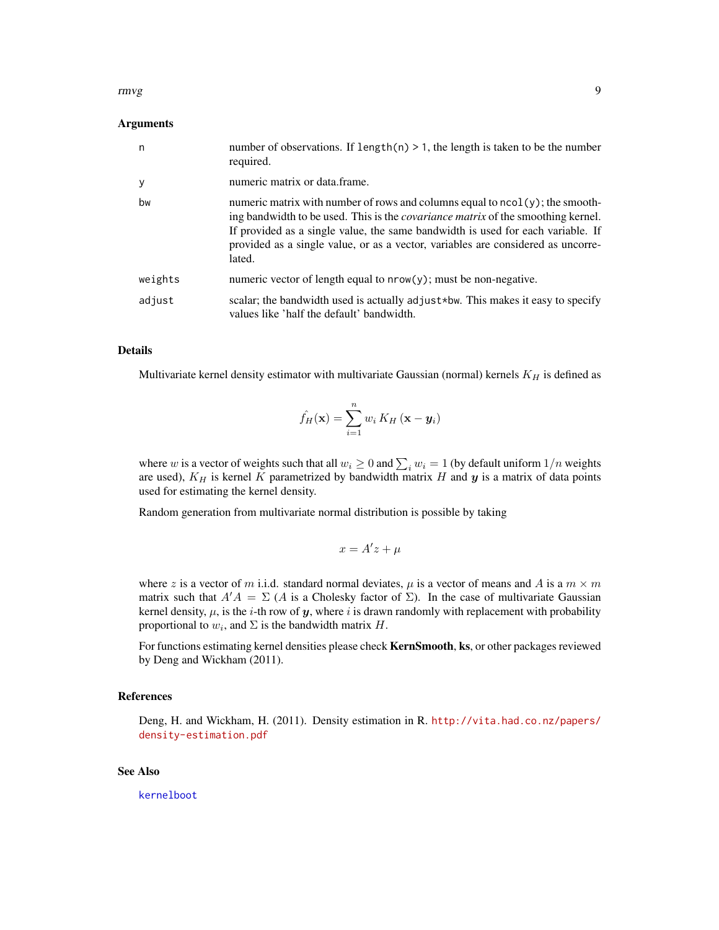#### <span id="page-8-0"></span>rmvg terms of the state of the state of the state of the state of the state of the state of the state of the state of the state of the state of the state of the state of the state of the state of the state of the state of

#### Arguments

| n       | number of observations. If length(n) $> 1$ , the length is taken to be the number<br>required.                                                                                                                                                                                                                                                           |
|---------|----------------------------------------------------------------------------------------------------------------------------------------------------------------------------------------------------------------------------------------------------------------------------------------------------------------------------------------------------------|
| у       | numeric matrix or data frame.                                                                                                                                                                                                                                                                                                                            |
| bw      | numeric matrix with number of rows and columns equal to ncol(y); the smooth-<br>ing bandwidth to be used. This is the <i>covariance matrix</i> of the smoothing kernel.<br>If provided as a single value, the same bandwidth is used for each variable. If<br>provided as a single value, or as a vector, variables are considered as uncorre-<br>lated. |
| weights | numeric vector of length equal to $nrow(y)$ ; must be non-negative.                                                                                                                                                                                                                                                                                      |
| adjust  | scalar; the bandwidth used is actually adjust*bw. This makes it easy to specify<br>values like 'half the default' bandwidth.                                                                                                                                                                                                                             |

#### Details

Multivariate kernel density estimator with multivariate Gaussian (normal) kernels  $K_H$  is defined as

$$
\hat{f}_H(\mathbf{x}) = \sum_{i=1}^n w_i K_H (\mathbf{x} - \mathbf{y}_i)
$$

where w is a vector of weights such that all  $w_i \ge 0$  and  $\sum_i w_i = 1$  (by default uniform  $1/n$  weights are used),  $K_H$  is kernel K parametrized by bandwidth matrix H and  $y$  is a matrix of data points used for estimating the kernel density.

Random generation from multivariate normal distribution is possible by taking

$$
x = A'z + \mu
$$

where z is a vector of m i.i.d. standard normal deviates,  $\mu$  is a vector of means and A is a  $m \times m$ matrix such that  $A'A = \Sigma(A)$  is a Cholesky factor of  $\Sigma$ ). In the case of multivariate Gaussian kernel density,  $\mu$ , is the *i*-th row of y, where *i* is drawn randomly with replacement with probability proportional to  $w_i$ , and  $\Sigma$  is the bandwidth matrix H.

For functions estimating kernel densities please check KernSmooth, ks, or other packages reviewed by Deng and Wickham (2011).

#### References

Deng, H. and Wickham, H. (2011). Density estimation in R. [http://vita.had.co.nz/papers/](http://vita.had.co.nz/papers/density-estimation.pdf) [density-estimation.pdf](http://vita.had.co.nz/papers/density-estimation.pdf)

#### See Also

[kernelboot](#page-2-1)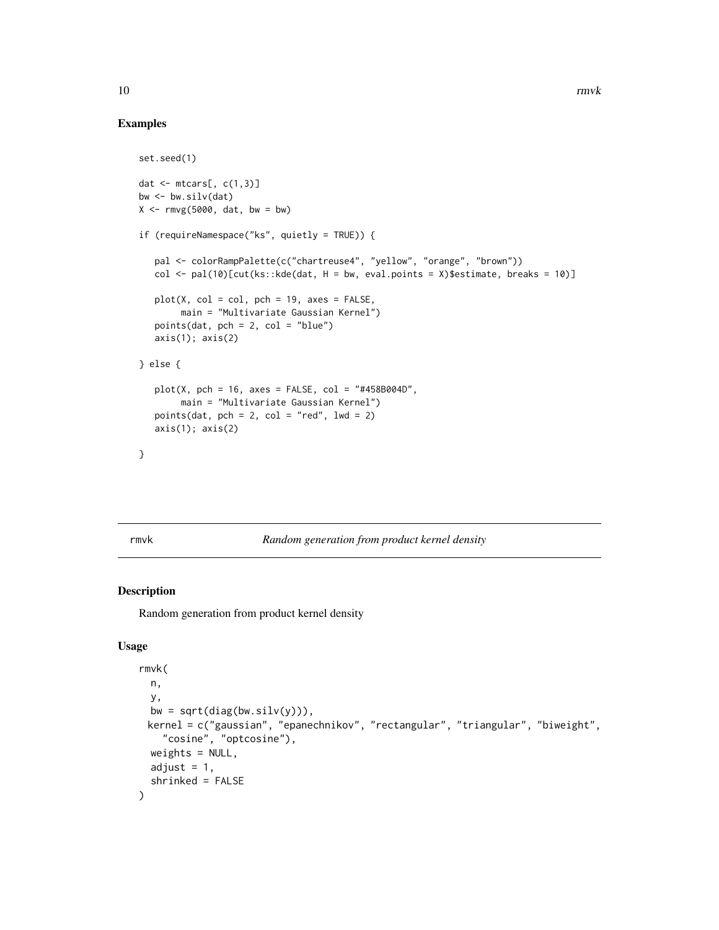#### Examples

```
set.seed(1)
dat \leq mtcars[, c(1,3)]
bw <- bw.silv(dat)
X \leq -r \text{mvg}(5000, \text{dat}, \text{bw} = \text{bw})if (requireNamespace("ks", quietly = TRUE)) {
   pal <- colorRampPalette(c("chartreuse4", "yellow", "orange", "brown"))
   col \le pal(10)[cut(ks::kde(dat, H = bw, eval.points = X)$estimate, breaks = 10)]
   plot(X, col = col, pch = 19, axes = FALSE,main = "Multivariate Gaussian Kernel")
   points(dat, pch = 2, col = "blue")axis(1); axis(2)
} else {
   plot(X, pch = 16, axes = FALSE, col = "#458B004D",main = "Multivariate Gaussian Kernel")
   points(dat, pch = 2, col = "red", lwd = 2)axis(1); axis(2)
}
```
#### rmvk *Random generation from product kernel density*

#### Description

Random generation from product kernel density

#### Usage

```
rmvk(
 n,
 y,
 bw = sqrt(diag(bw.silv(y))),
 kernel = c("gaussian", "epanechnikov", "rectangular", "triangular", "biweight",
    "cosine", "optcosine"),
 weights = NULL,
 adjust = 1,
  shrinked = FALSE
)
```
<span id="page-9-0"></span>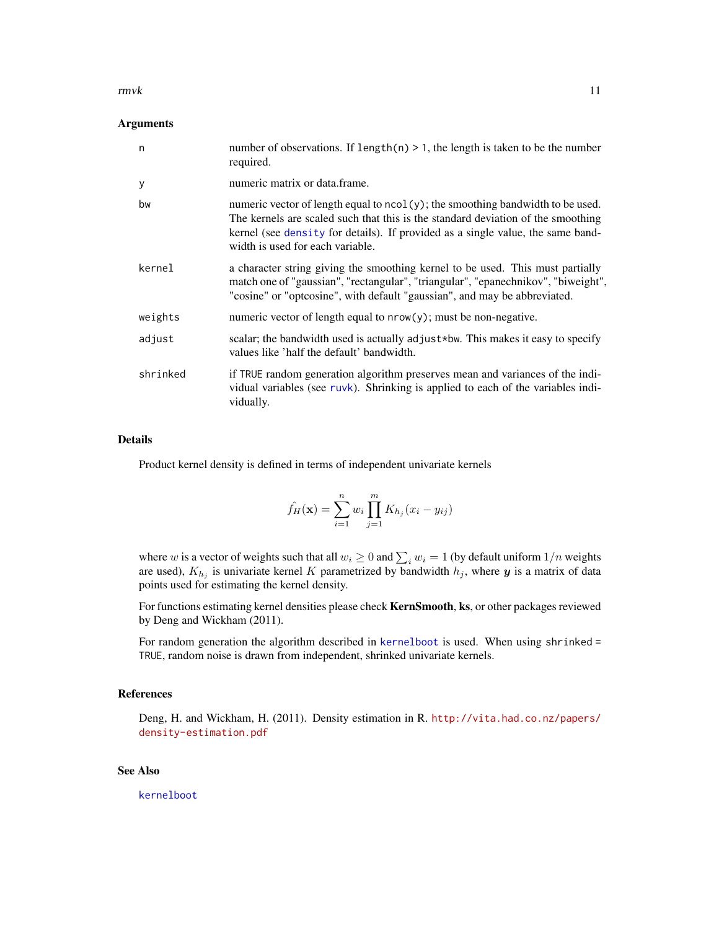#### <span id="page-10-0"></span>rmvk 11

#### Arguments

| n        | number of observations. If length(n) $> 1$ , the length is taken to be the number<br>required.                                                                                                                                                                                            |
|----------|-------------------------------------------------------------------------------------------------------------------------------------------------------------------------------------------------------------------------------------------------------------------------------------------|
| У        | numeric matrix or data frame.                                                                                                                                                                                                                                                             |
| bw       | numeric vector of length equal to ncol(y); the smoothing bandwidth to be used.<br>The kernels are scaled such that this is the standard deviation of the smoothing<br>kernel (see density for details). If provided as a single value, the same band-<br>width is used for each variable. |
| kernel   | a character string giving the smoothing kernel to be used. This must partially<br>match one of "gaussian", "rectangular", "triangular", "epanechnikov", "biweight",<br>"cosine" or "optcosine", with default "gaussian", and may be abbreviated.                                          |
| weights  | numeric vector of length equal to $nrow(y)$ ; must be non-negative.                                                                                                                                                                                                                       |
| adjust   | scalar; the bandwidth used is actually adjust*bw. This makes it easy to specify<br>values like 'half the default' bandwidth.                                                                                                                                                              |
| shrinked | if TRUE random generation algorithm preserves mean and variances of the indi-<br>vidual variables (see ruvk). Shrinking is applied to each of the variables indi-<br>vidually.                                                                                                            |

#### Details

Product kernel density is defined in terms of independent univariate kernels

$$
\hat{f}_H(\mathbf{x}) = \sum_{i=1}^n w_i \prod_{j=1}^m K_{h_j}(x_i - y_{ij})
$$

where w is a vector of weights such that all  $w_i \ge 0$  and  $\sum_i w_i = 1$  (by default uniform  $1/n$  weights are used),  $K_{h_j}$  is univariate kernel K parametrized by bandwidth  $h_j$ , where y is a matrix of data points used for estimating the kernel density.

For functions estimating kernel densities please check KernSmooth, ks, or other packages reviewed by Deng and Wickham (2011).

For random generation the algorithm described in [kernelboot](#page-2-1) is used. When using shrinked = TRUE, random noise is drawn from independent, shrinked univariate kernels.

#### References

Deng, H. and Wickham, H. (2011). Density estimation in R. [http://vita.had.co.nz/papers/](http://vita.had.co.nz/papers/density-estimation.pdf) [density-estimation.pdf](http://vita.had.co.nz/papers/density-estimation.pdf)

#### See Also

[kernelboot](#page-2-1)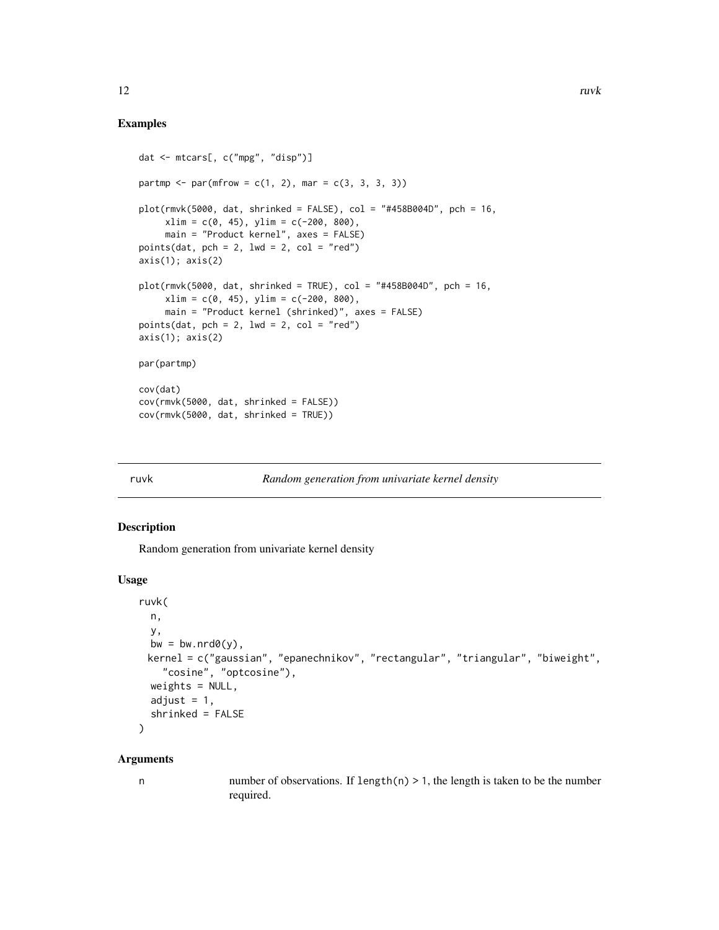#### Examples

```
dat <- mtcars[, c("mpg", "disp")]
partmp <- par(mfrow = c(1, 2), mar = c(3, 3, 3, 3))
plot(rmvk(5000, dat, shrinked = FALSE), col = "#458B004D", pch = 16,xlim = c(0, 45), ylim = c(-200, 800),main = "Product kernel", axes = FALSE)
points(dat, pch = 2, lwd = 2, col = "red")axis(1); axis(2)plot(rmvk(5000, dat, shrinked = TRUE), col = "#458B004D", pch = 16,xlim = c(0, 45), ylim = c(-200, 800),main = "Product kernel (shrinked)", axes = FALSE)
points(dat, pch = 2, lwd = 2, col = "red")axis(1); axis(2)par(partmp)
cov(dat)
cov(rmvk(5000, dat, shrinked = FALSE))
cov(rmvk(5000, dat, shrinked = TRUE))
```
<span id="page-11-1"></span>

#### **Random generation from univariate kernel density**

#### Description

Random generation from univariate kernel density

#### Usage

```
ruvk(
 n,
  y,
 bw = bw.nrd\Theta(y),
 kernel = c("gaussian", "epanechnikov", "rectangular", "triangular", "biweight",
    "cosine", "optcosine"),
 weights = NULL,
  adjust = 1,
  shrinked = FALSE
\lambda
```
#### Arguments

n number of observations. If length $(n) > 1$ , the length is taken to be the number required.

<span id="page-11-0"></span>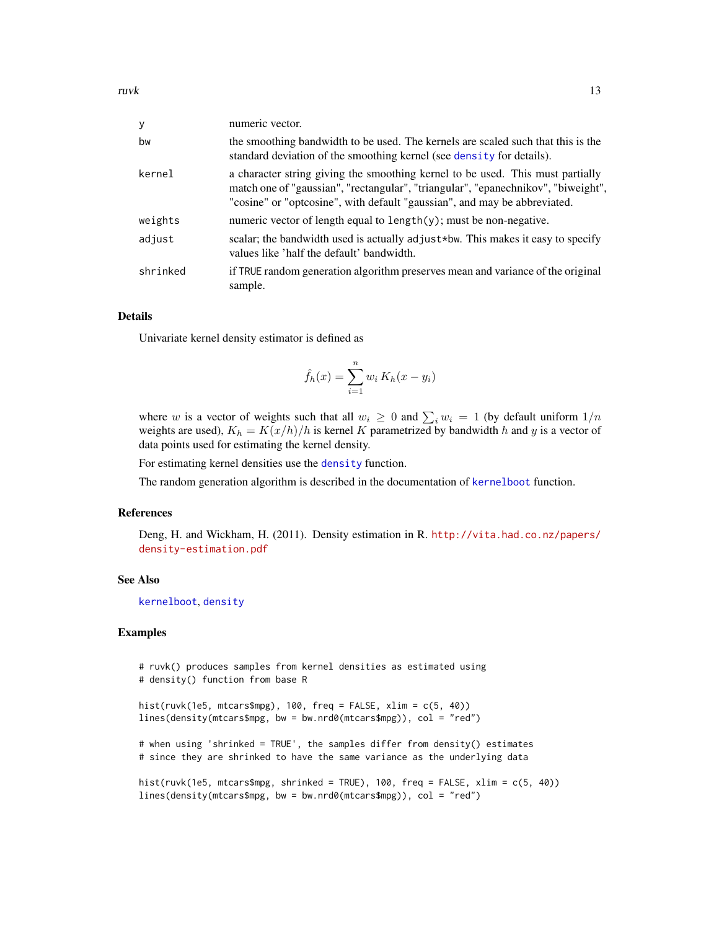<span id="page-12-0"></span>

| y        | numeric vector.                                                                                                                                                                                                                                  |
|----------|--------------------------------------------------------------------------------------------------------------------------------------------------------------------------------------------------------------------------------------------------|
| bw       | the smoothing bandwidth to be used. The kernels are scaled such that this is the<br>standard deviation of the smoothing kernel (see density for details).                                                                                        |
| kernel   | a character string giving the smoothing kernel to be used. This must partially<br>match one of "gaussian", "rectangular", "triangular", "epanechnikov", "biweight",<br>"cosine" or "optcosine", with default "gaussian", and may be abbreviated. |
| weights  | numeric vector of length equal to $length(y)$ ; must be non-negative.                                                                                                                                                                            |
| adjust   | scalar; the bandwidth used is actually adjust*bw. This makes it easy to specify<br>values like 'half the default' bandwidth.                                                                                                                     |
| shrinked | if TRUE random generation algorithm preserves mean and variance of the original<br>sample.                                                                                                                                                       |

#### Details

Univariate kernel density estimator is defined as

$$
\hat{f}_h(x) = \sum_{i=1}^n w_i K_h(x - y_i)
$$

where w is a vector of weights such that all  $w_i \geq 0$  and  $\sum_i w_i = 1$  (by default uniform  $1/n$ weights are used),  $K_h = K(x/h)/h$  is kernel K parametrized by bandwidth h and y is a vector of data points used for estimating the kernel density.

For estimating kernel densities use the [density](#page-0-0) function.

The random generation algorithm is described in the documentation of [kernelboot](#page-2-1) function.

#### References

Deng, H. and Wickham, H. (2011). Density estimation in R. [http://vita.had.co.nz/papers/](http://vita.had.co.nz/papers/density-estimation.pdf) [density-estimation.pdf](http://vita.had.co.nz/papers/density-estimation.pdf)

#### See Also

[kernelboot](#page-2-1), [density](#page-0-0)

#### Examples

```
# ruvk() produces samples from kernel densities as estimated using
# density() function from base R
hist(ruvk(1e5, mtcars$mpg), 100, freq = FALSE, xlim = c(5, 40))
lines(density(mtcars$mpg, bw = bw.nrd0(mtcars$mpg)), col = "red")
# when using 'shrinked = TRUE', the samples differ from density() estimates
# since they are shrinked to have the same variance as the underlying data
hist(ruvk(1e5, mtcars$mpg, shrinked = TRUE), 100, freq = FALSE, xlim = c(5, 40))
lines(density(mtcars$mpg, bw = bw.nrd0(mtcars$mpg)), col = "red")
```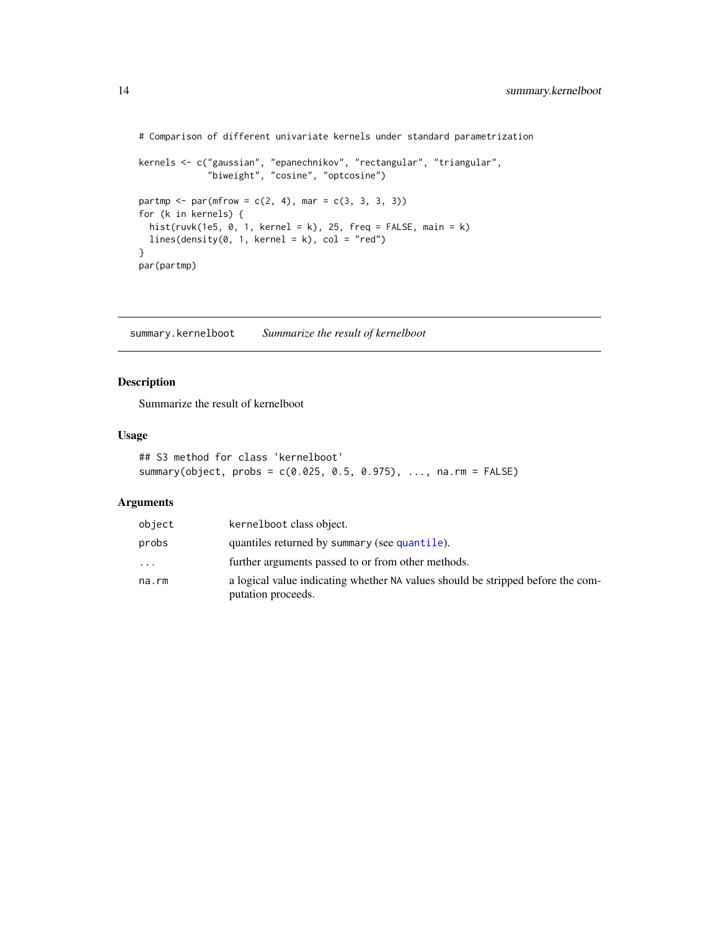```
# Comparison of different univariate kernels under standard parametrization
```

```
kernels <- c("gaussian", "epanechnikov", "rectangular", "triangular",
             "biweight", "cosine", "optcosine")
partmp <- par(mfrow = c(2, 4), mar = c(3, 3, 3, 3))
for (k in kernels) {
  hist(ruvk(1e5, \theta, 1, kernel = k), 25, freq = FALSE, main = k)
 lines(density(0, 1, kernet = k), col = "red")}
par(partmp)
```
summary.kernelboot *Summarize the result of kernelboot*

#### Description

Summarize the result of kernelboot

#### Usage

```
## S3 method for class 'kernelboot'
summary(object, probs = c(0.025, 0.5, 0.975), ..., na.rm = FALSE)
```
#### Arguments

| object | kernelboot class object.                                                                              |
|--------|-------------------------------------------------------------------------------------------------------|
| probs  | quantiles returned by summary (see quantile).                                                         |
| .      | further arguments passed to or from other methods.                                                    |
| na.rm  | a logical value indicating whether NA values should be stripped before the com-<br>putation proceeds. |